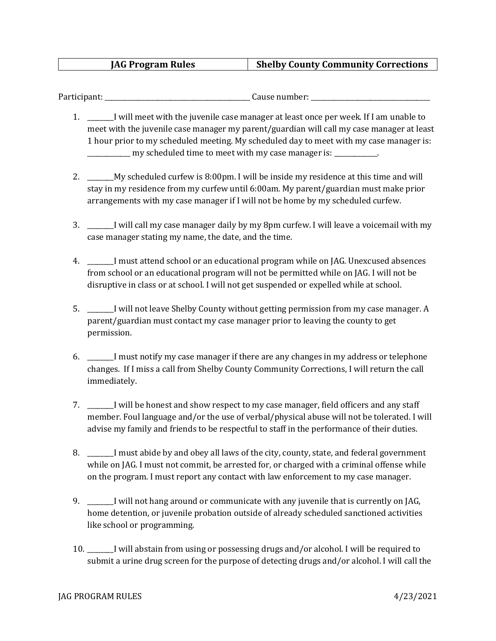## **JAG Program Rules Shelby County Community Corrections**

Participant: \_\_\_\_\_\_\_\_\_\_\_\_\_\_\_\_\_\_\_\_\_\_\_\_\_\_\_\_\_\_\_\_\_\_\_\_\_\_\_\_\_\_\_\_ Cause number: \_\_\_\_\_\_\_\_\_\_\_\_\_\_\_\_\_\_\_\_\_\_\_\_\_\_\_\_\_\_\_\_\_\_\_\_

- 1. \_\_\_\_\_\_\_\_I will meet with the juvenile case manager at least once per week. If I am unable to meet with the juvenile case manager my parent/guardian will call my case manager at least 1 hour prior to my scheduled meeting. My scheduled day to meet with my case manager is: \_\_\_\_\_\_\_\_\_\_\_\_\_ my scheduled time to meet with my case manager is: \_\_\_\_\_\_\_\_\_\_\_\_\_.
- 2. \_\_\_\_\_\_\_\_My scheduled curfew is 8:00pm. I will be inside my residence at this time and will stay in my residence from my curfew until 6:00am. My parent/guardian must make prior arrangements with my case manager if I will not be home by my scheduled curfew.
- 3. \_\_\_\_\_\_\_\_I will call my case manager daily by my 8pm curfew. I will leave a voicemail with my case manager stating my name, the date, and the time.
- 4. \_\_\_\_\_\_\_\_I must attend school or an educational program while on JAG. Unexcused absences from school or an educational program will not be permitted while on JAG. I will not be disruptive in class or at school. I will not get suspended or expelled while at school.
- 5. \_\_\_\_\_\_\_\_I will not leave Shelby County without getting permission from my case manager. A parent/guardian must contact my case manager prior to leaving the county to get permission.
- 6. \_\_\_\_\_\_\_\_I must notify my case manager if there are any changes in my address or telephone changes. If I miss a call from Shelby County Community Corrections, I will return the call immediately.
- 7. \_\_\_\_\_\_I will be honest and show respect to my case manager, field officers and any staff member. Foul language and/or the use of verbal/physical abuse will not be tolerated. I will advise my family and friends to be respectful to staff in the performance of their duties.
- 8. \_\_\_\_\_\_I must abide by and obey all laws of the city, county, state, and federal government while on JAG. I must not commit, be arrested for, or charged with a criminal offense while on the program. I must report any contact with law enforcement to my case manager.
- 9. \_\_\_\_\_\_\_\_I will not hang around or communicate with any juvenile that is currently on JAG, home detention, or juvenile probation outside of already scheduled sanctioned activities like school or programming.
- 10. \_\_\_\_\_\_\_\_I will abstain from using or possessing drugs and/or alcohol. I will be required to submit a urine drug screen for the purpose of detecting drugs and/or alcohol. I will call the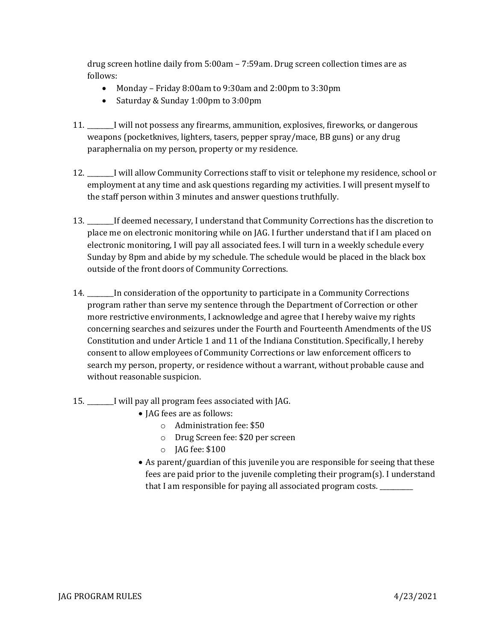drug screen hotline daily from 5:00am – 7:59am. Drug screen collection times are as follows:

- Monday Friday 8:00am to 9:30am and 2:00pm to 3:30pm
- Saturday & Sunday 1:00pm to 3:00pm
- 11. \_\_\_\_\_\_\_\_I will not possess any firearms, ammunition, explosives, fireworks, or dangerous weapons (pocketknives, lighters, tasers, pepper spray/mace, BB guns) or any drug paraphernalia on my person, property or my residence.
- 12. \_\_\_\_\_\_\_\_I will allow Community Corrections staff to visit or telephone my residence, school or employment at any time and ask questions regarding my activities. I will present myself to the staff person within 3 minutes and answer questions truthfully.
- 13. \_\_\_\_\_\_\_\_If deemed necessary, I understand that Community Corrections has the discretion to place me on electronic monitoring while on JAG. I further understand that if I am placed on electronic monitoring, I will pay all associated fees. I will turn in a weekly schedule every Sunday by 8pm and abide by my schedule. The schedule would be placed in the black box outside of the front doors of Community Corrections.
- 14. \_\_\_\_\_\_\_\_In consideration of the opportunity to participate in a Community Corrections program rather than serve my sentence through the Department of Correction or other more restrictive environments, I acknowledge and agree that I hereby waive my rights concerning searches and seizures under the Fourth and Fourteenth Amendments of the US Constitution and under Article 1 and 11 of the Indiana Constitution. Specifically, I hereby consent to allow employees of Community Corrections or law enforcement officers to search my person, property, or residence without a warrant, without probable cause and without reasonable suspicion.
- 15. \_\_\_\_\_\_\_\_I will pay all program fees associated with JAG.
	- JAG fees are as follows:
		- o Administration fee: \$50
		- o Drug Screen fee: \$20 per screen
		- o JAG fee: \$100
	- As parent/guardian of this juvenile you are responsible for seeing that these fees are paid prior to the juvenile completing their program(s). I understand that I am responsible for paying all associated program costs. \_\_\_\_\_\_\_\_\_\_